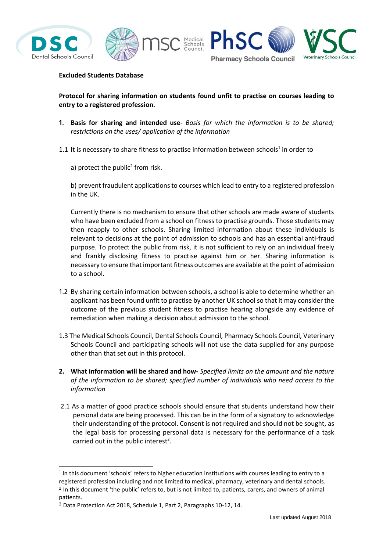

-





## **Excluded Students Database**

**Protocol for sharing information on students found unfit to practise on courses leading to entry to a registered profession.**

**1. Basis for sharing and intended use-** *Basis for which the information is to be shared; restrictions on the uses/ application of the information*

1.1 It is necessary to share fitness to practise information between schools<sup>1</sup> in order to

a) protect the public<sup>2</sup> from risk.

b) prevent fraudulent applications to courses which lead to entry to a registered profession in the UK.

Currently there is no mechanism to ensure that other schools are made aware of students who have been excluded from a school on fitness to practise grounds. Those students may then reapply to other schools. Sharing limited information about these individuals is relevant to decisions at the point of admission to schools and has an essential anti-fraud purpose. To protect the public from risk, it is not sufficient to rely on an individual freely and frankly disclosing fitness to practise against him or her. Sharing information is necessary to ensure that important fitness outcomes are available at the point of admission to a school.

- 1.2 By sharing certain information between schools, a school is able to determine whether an applicant has been found unfit to practise by another UK school so that it may consider the outcome of the previous student fitness to practise hearing alongside any evidence of remediation when making a decision about admission to the school.
- 1.3 The Medical Schools Council, Dental Schools Council, Pharmacy Schools Council, Veterinary Schools Council and participating schools will not use the data supplied for any purpose other than that set out in this protocol.
- **2. What information will be shared and how-** *Specified limits on the amount and the nature of the information to be shared; specified number of individuals who need access to the information*
- 2.1 As a matter of good practice schools should ensure that students understand how their personal data are being processed. This can be in the form of a signatory to acknowledge their understanding of the protocol. Consent is not required and should not be sought, as the legal basis for processing personal data is necessary for the performance of a task carried out in the public interest<sup>3</sup>.

 $<sup>1</sup>$  In this document 'schools' refers to higher education institutions with courses leading to entry to a</sup> registered profession including and not limited to medical, pharmacy, veterinary and dental schools. <sup>2</sup> In this document 'the public' refers to, but is not limited to, patients, carers, and owners of animal patients.

<sup>3</sup> Data Protection Act 2018, Schedule 1, Part 2, Paragraphs 10-12, 14.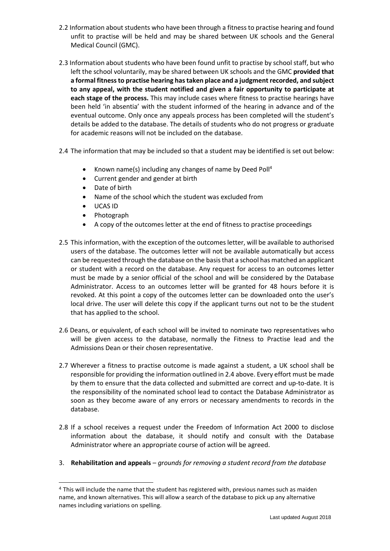- 2.2 Information about students who have been through a fitness to practise hearing and found unfit to practise will be held and may be shared between UK schools and the General Medical Council (GMC).
- 2.3 Information about students who have been found unfit to practise by school staff, but who left the school voluntarily, may be shared between UK schools and the GMC **provided that a formal fitness to practise hearing has taken place and a judgment recorded, and subject to any appeal, with the student notified and given a fair opportunity to participate at each stage of the process.** This may include cases where fitness to practise hearings have been held 'in absentia' with the student informed of the hearing in advance and of the eventual outcome. Only once any appeals process has been completed will the student's details be added to the database. The details of students who do not progress or graduate for academic reasons will not be included on the database.
- 2.4 The information that may be included so that a student may be identified is set out below:
	- Known name(s) including any changes of name by Deed Poll<sup>4</sup>
	- Current gender and gender at birth
	- Date of birth
	- Name of the school which the student was excluded from
	- UCAS ID

-

- Photograph
- A copy of the outcomes letter at the end of fitness to practise proceedings
- 2.5 This information, with the exception of the outcomes letter, will be available to authorised users of the database. The outcomes letter will not be available automatically but access can be requested through the database on the basis that a school has matched an applicant or student with a record on the database. Any request for access to an outcomes letter must be made by a senior official of the school and will be considered by the Database Administrator. Access to an outcomes letter will be granted for 48 hours before it is revoked. At this point a copy of the outcomes letter can be downloaded onto the user's local drive. The user will delete this copy if the applicant turns out not to be the student that has applied to the school.
- 2.6 Deans, or equivalent, of each school will be invited to nominate two representatives who will be given access to the database, normally the Fitness to Practise lead and the Admissions Dean or their chosen representative.
- 2.7 Wherever a fitness to practise outcome is made against a student, a UK school shall be responsible for providing the information outlined in 2.4 above. Every effort must be made by them to ensure that the data collected and submitted are correct and up-to-date. It is the responsibility of the nominated school lead to contact the Database Administrator as soon as they become aware of any errors or necessary amendments to records in the database.
- 2.8 If a school receives a request under the Freedom of Information Act 2000 to disclose information about the database, it should notify and consult with the Database Administrator where an appropriate course of action will be agreed.
- 3. **Rehabilitation and appeals** *grounds for removing a student record from the database*

<sup>4</sup> This will include the name that the student has registered with, previous names such as maiden name, and known alternatives. This will allow a search of the database to pick up any alternative names including variations on spelling.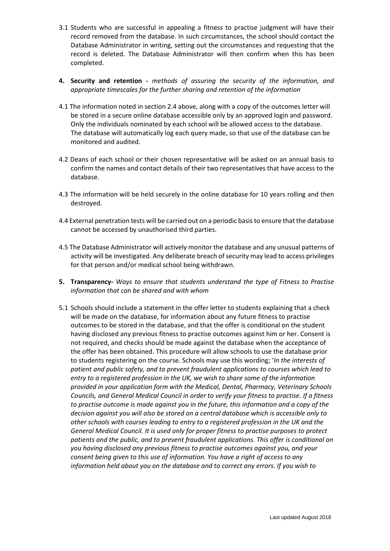- 3.1 Students who are successful in appealing a fitness to practise judgment will have their record removed from the database. In such circumstances, the school should contact the Database Administrator in writing, setting out the circumstances and requesting that the record is deleted. The Database Administrator will then confirm when this has been completed.
- **4. Security and retention -** *methods of assuring the security of the information, and appropriate timescales for the further sharing and retention of the information*
- 4.1 The information noted in section 2.4 above, along with a copy of the outcomes letter will be stored in a secure online database accessible only by an approved login and password. Only the individuals nominated by each school will be allowed access to the database. The database will automatically log each query made, so that use of the database can be monitored and audited.
- 4.2 Deans of each school or their chosen representative will be asked on an annual basis to confirm the names and contact details of their two representatives that have access to the database.
- 4.3 The information will be held securely in the online database for 10 years rolling and then destroyed.
- 4.4 External penetration tests will be carried out on a periodic basis to ensure that the database cannot be accessed by unauthorised third parties.
- 4.5 The Database Administrator will actively monitor the database and any unusual patterns of activity will be investigated. Any deliberate breach of security may lead to access privileges for that person and/or medical school being withdrawn.
- **5. Transparency-** *Ways to ensure that students understand the type of Fitness to Practise information that can be shared and with whom*
- 5.1 Schools should include a statement in the offer letter to students explaining that a check will be made on the database, for information about any future fitness to practise outcomes to be stored in the database, and that the offer is conditional on the student having disclosed any previous fitness to practise outcomes against him or her. Consent is not required, and checks should be made against the database when the acceptance of the offer has been obtained. This procedure will allow schools to use the database prior to students registering on the course. Schools may use this wording; '*In the interests of patient and public safety, and to prevent fraudulent applications to courses which lead to entry to a registered profession in the UK, we wish to share some of the information provided in your application form with the Medical, Dental, Pharmacy, Veterinary Schools Councils, and General Medical Council in order to verify your fitness to practise. If a fitness to practise outcome is made against you in the future, this information and a copy of the decision against you will also be stored on a central database which is accessible only to other schools with courses leading to entry to a registered profession in the UK and the General Medical Council. It is used only for proper fitness to practise purposes to protect patients and the public, and to prevent fraudulent applications. This offer is conditional on you having disclosed any previous fitness to practise outcomes against you, and your consent being given to this use of information. You have a right of access to any information held about you on the database and to correct any errors. If you wish to*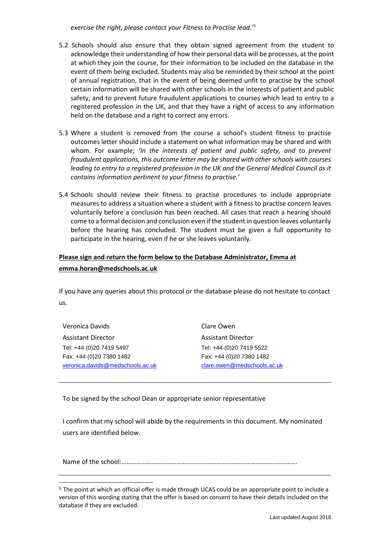*exercise the right, please contact your Fitness to Practise lead.*' 5

- 5.2 Schools should also ensure that they obtain signed agreement from the student to acknowledge their understanding of how their personal data will be processes, at the point at which they join the course, for their information to be included on the database in the event of them being excluded. Students may also be reminded by their school at the point of annual registration, that in the event of being deemed unfit to practise by the school certain information will be shared with other schools in the interests of patient and public safety, and to prevent future fraudulent applications to courses which lead to entry to a registered profession in the UK, and that they have a right of access to any information held on the database and a right to correct any errors.
- 5.3 Where a student is removed from the course a school's student fitness to practise outcomes letter should include a statement on what information may be shared and with whom. For example; *'In the interests of patient and public safety, and to prevent fraudulent applications, this outcome letter may be shared with other schools with courses leading to entry to a registered profession in the UK and the General Medical Council as it contains information pertinent to your fitness to practise.'*
- 5.4 Schools should review their fitness to practise procedures to include appropriate measures to address a situation where a student with a fitness to practise concern leaves voluntarily before a conclusion has been reached. All cases that reach a hearing should come to a formal decision and conclusion even if the student in question leaves voluntarily before the hearing has concluded. The student must be given a full opportunity to participate in the hearing, even if he or she leaves voluntarily.

## **Please sign and return the form below to the Database Administrator, Emma at emma.horan@medschools.ac.uk**

If you have any queries about this protocol or the database please do not hesitate to contact us.

| Veronica Davids                  |
|----------------------------------|
| <b>Assistant Director</b>        |
| Tel: +44 (0)20 7419 5497         |
| Fax: +44 (0)20 7380 1482         |
| veronica.davids@medschools.ac.uk |

-

Clare Owen Assistant Director Tel: +44 (0)20 7419 5522 Fax: +44 (0)20 7380 1482 [clare.owen@medschools.ac.uk](mailto:clare.owen@medschools.ac.uk)

To be signed by the school Dean or appropriate senior representative

I confirm that my school will abide by the requirements in this document. My nominated users are identified below.

Name of the school:…………………………………………………………………………………………….

<sup>5</sup> The point at which an official offer is made through UCAS could be an appropriate point to include a version of this wording stating that the offer is based on consent to have their details included on the database if they are excluded.